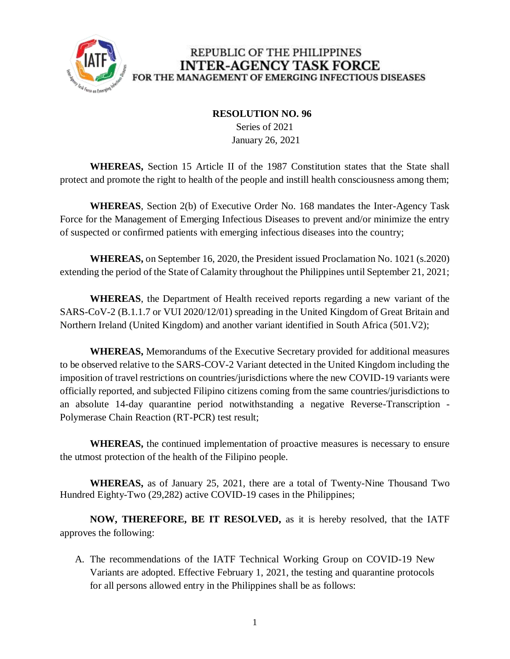

## REPUBLIC OF THE PHILIPPINES **INTER-AGENCY TASK FORCE** FOR THE MANAGEMENT OF EMERGING INFECTIOUS DISEASES

## **RESOLUTION NO. 96**

 Series of 2021 January 26, 2021

**WHEREAS,** Section 15 Article II of the 1987 Constitution states that the State shall protect and promote the right to health of the people and instill health consciousness among them;

**WHEREAS**, Section 2(b) of Executive Order No. 168 mandates the Inter-Agency Task Force for the Management of Emerging Infectious Diseases to prevent and/or minimize the entry of suspected or confirmed patients with emerging infectious diseases into the country;

**WHEREAS,** on September 16, 2020, the President issued Proclamation No. 1021 (s.2020) extending the period of the State of Calamity throughout the Philippines until September 21, 2021;

**WHEREAS**, the Department of Health received reports regarding a new variant of the SARS-CoV-2 (B.1.1.7 or VUI 2020/12/01) spreading in the United Kingdom of Great Britain and Northern Ireland (United Kingdom) and another variant identified in South Africa (501.V2);

**WHEREAS,** Memorandums of the Executive Secretary provided for additional measures to be observed relative to the SARS-COV-2 Variant detected in the United Kingdom including the imposition of travel restrictions on countries/jurisdictions where the new COVID-19 variants were officially reported, and subjected Filipino citizens coming from the same countries/jurisdictions to an absolute 14-day quarantine period notwithstanding a negative Reverse-Transcription - Polymerase Chain Reaction (RT-PCR) test result;

**WHEREAS,** the continued implementation of proactive measures is necessary to ensure the utmost protection of the health of the Filipino people.

**WHEREAS,** as of January 25, 2021, there are a total of Twenty-Nine Thousand Two Hundred Eighty-Two (29,282) active COVID-19 cases in the Philippines;

**NOW, THEREFORE, BE IT RESOLVED,** as it is hereby resolved, that the IATF approves the following:

A. The recommendations of the IATF Technical Working Group on COVID-19 New Variants are adopted. Effective February 1, 2021, the testing and quarantine protocols for all persons allowed entry in the Philippines shall be as follows: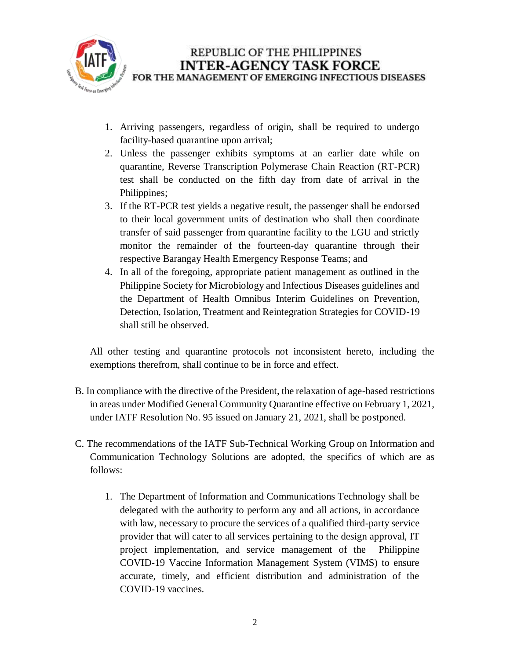

- 1. Arriving passengers, regardless of origin, shall be required to undergo facility-based quarantine upon arrival;
- 2. Unless the passenger exhibits symptoms at an earlier date while on quarantine, Reverse Transcription Polymerase Chain Reaction (RT-PCR) test shall be conducted on the fifth day from date of arrival in the Philippines;
- 3. If the RT-PCR test yields a negative result, the passenger shall be endorsed to their local government units of destination who shall then coordinate transfer of said passenger from quarantine facility to the LGU and strictly monitor the remainder of the fourteen-day quarantine through their respective Barangay Health Emergency Response Teams; and
- 4. In all of the foregoing, appropriate patient management as outlined in the Philippine Society for Microbiology and Infectious Diseases guidelines and the Department of Health Omnibus Interim Guidelines on Prevention, Detection, Isolation, Treatment and Reintegration Strategies for COVID-19 shall still be observed.

All other testing and quarantine protocols not inconsistent hereto, including the exemptions therefrom, shall continue to be in force and effect.

- B. In compliance with the directive of the President, the relaxation of age-based restrictions in areas under Modified General Community Quarantine effective on February 1, 2021, under IATF Resolution No. 95 issued on January 21, 2021, shall be postponed.
- C. The recommendations of the IATF Sub-Technical Working Group on Information and Communication Technology Solutions are adopted, the specifics of which are as follows:
	- 1. The Department of Information and Communications Technology shall be delegated with the authority to perform any and all actions, in accordance with law, necessary to procure the services of a qualified third-party service provider that will cater to all services pertaining to the design approval, IT project implementation, and service management of the Philippine COVID-19 Vaccine Information Management System (VIMS) to ensure accurate, timely, and efficient distribution and administration of the COVID-19 vaccines.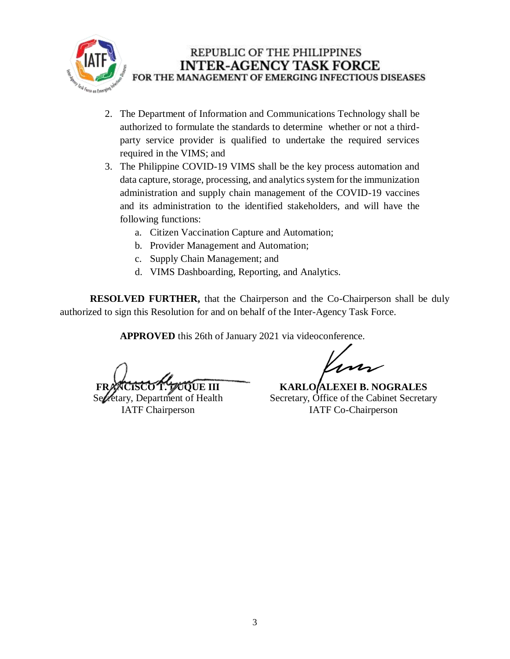

## REPUBLIC OF THE PHILIPPINES **INTER-AGENCY TASK FORCE** FOR THE MANAGEMENT OF EMERGING INFECTIOUS DISEASES

- 2. The Department of Information and Communications Technology shall be authorized to formulate the standards to determine whether or not a thirdparty service provider is qualified to undertake the required services required in the VIMS; and
- 3. The Philippine COVID-19 VIMS shall be the key process automation and data capture, storage, processing, and analytics system for the immunization administration and supply chain management of the COVID-19 vaccines and its administration to the identified stakeholders, and will have the following functions:
	- a. Citizen Vaccination Capture and Automation;
	- b. Provider Management and Automation;
	- c. Supply Chain Management; and
	- d. VIMS Dashboarding, Reporting, and Analytics.

**RESOLVED FURTHER,** that the Chairperson and the Co-Chairperson shall be duly authorized to sign this Resolution for and on behalf of the Inter-Agency Task Force.

**APPROVED** this 26th of January 2021 via videoconference.

**FRANCISCO T. DUQUE III**

Secretary, Department of Health IATF Chairperson

**KARLO ALEXEI B. NOGRALES** Secretary, Office of the Cabinet Secretary IATF Co-Chairperson